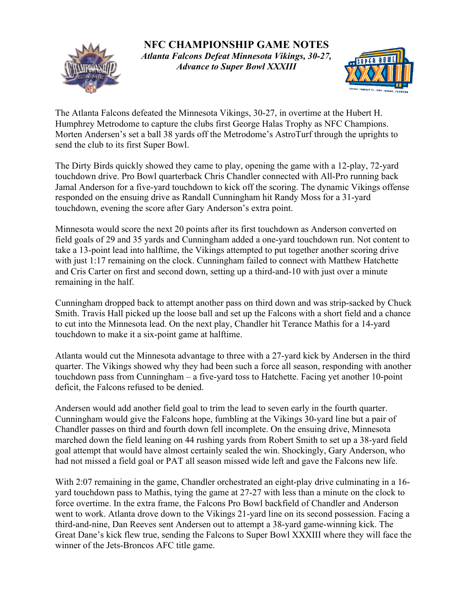

**NFC CHAMPIONSHIP GAME NOTES** *Atlanta Falcons Defeat Minnesota Vikings, 30-27, Advance to Super Bowl XXXIII*



The Atlanta Falcons defeated the Minnesota Vikings, 30-27, in overtime at the Hubert H. Humphrey Metrodome to capture the clubs first George Halas Trophy as NFC Champions. Morten Andersen's set a ball 38 yards off the Metrodome's AstroTurf through the uprights to send the club to its first Super Bowl.

The Dirty Birds quickly showed they came to play, opening the game with a 12-play, 72-yard touchdown drive. Pro Bowl quarterback Chris Chandler connected with All-Pro running back Jamal Anderson for a five-yard touchdown to kick off the scoring. The dynamic Vikings offense responded on the ensuing drive as Randall Cunningham hit Randy Moss for a 31-yard touchdown, evening the score after Gary Anderson's extra point.

Minnesota would score the next 20 points after its first touchdown as Anderson converted on field goals of 29 and 35 yards and Cunningham added a one-yard touchdown run. Not content to take a 13-point lead into halftime, the Vikings attempted to put together another scoring drive with just 1:17 remaining on the clock. Cunningham failed to connect with Matthew Hatchette and Cris Carter on first and second down, setting up a third-and-10 with just over a minute remaining in the half.

Cunningham dropped back to attempt another pass on third down and was strip-sacked by Chuck Smith. Travis Hall picked up the loose ball and set up the Falcons with a short field and a chance to cut into the Minnesota lead. On the next play, Chandler hit Terance Mathis for a 14-yard touchdown to make it a six-point game at halftime.

Atlanta would cut the Minnesota advantage to three with a 27-yard kick by Andersen in the third quarter. The Vikings showed why they had been such a force all season, responding with another touchdown pass from Cunningham – a five-yard toss to Hatchette. Facing yet another 10-point deficit, the Falcons refused to be denied.

Andersen would add another field goal to trim the lead to seven early in the fourth quarter. Cunningham would give the Falcons hope, fumbling at the Vikings 30-yard line but a pair of Chandler passes on third and fourth down fell incomplete. On the ensuing drive, Minnesota marched down the field leaning on 44 rushing yards from Robert Smith to set up a 38-yard field goal attempt that would have almost certainly sealed the win. Shockingly, Gary Anderson, who had not missed a field goal or PAT all season missed wide left and gave the Falcons new life.

With 2:07 remaining in the game, Chandler orchestrated an eight-play drive culminating in a 16 yard touchdown pass to Mathis, tying the game at 27-27 with less than a minute on the clock to force overtime. In the extra frame, the Falcons Pro Bowl backfield of Chandler and Anderson went to work. Atlanta drove down to the Vikings 21-yard line on its second possession. Facing a third-and-nine, Dan Reeves sent Andersen out to attempt a 38-yard game-winning kick. The Great Dane's kick flew true, sending the Falcons to Super Bowl XXXIII where they will face the winner of the Jets-Broncos AFC title game.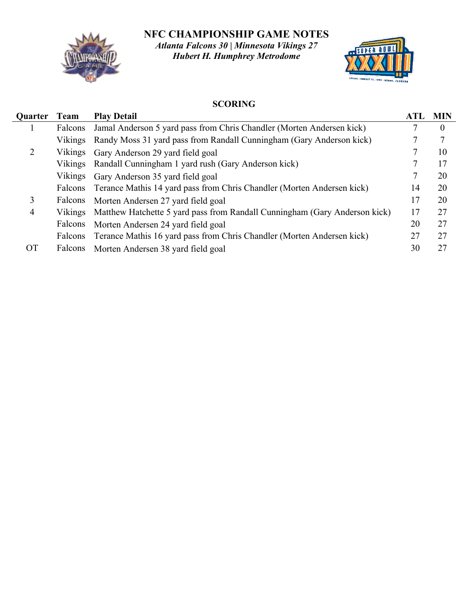**NFC CHAMPIONSHIP GAME NOTES**



*Atlanta Falcons 30 | Minnesota Vikings 27 Hubert H. Humphrey Metrodome*



## **SCORING**

| Quarter        | Team    | <b>Play Detail</b>                                                         | <b>ATL</b> | <b>MIN</b>     |
|----------------|---------|----------------------------------------------------------------------------|------------|----------------|
|                | Falcons | Jamal Anderson 5 yard pass from Chris Chandler (Morten Andersen kick)      |            | $\overline{0}$ |
|                | Vikings | Randy Moss 31 yard pass from Randall Cunningham (Gary Anderson kick)       |            | 7              |
| 2              | Vikings | Gary Anderson 29 yard field goal                                           |            | 10             |
|                | Vikings | Randall Cunningham 1 yard rush (Gary Anderson kick)                        |            | 17             |
|                | Vikings | Gary Anderson 35 yard field goal                                           |            | 20             |
|                | Falcons | Terance Mathis 14 yard pass from Chris Chandler (Morten Andersen kick)     | 14         | 20             |
| 3              | Falcons | Morten Andersen 27 yard field goal                                         | 17         | 20             |
| $\overline{4}$ | Vikings | Matthew Hatchette 5 yard pass from Randall Cunningham (Gary Anderson kick) | 17         | 27             |
|                | Falcons | Morten Andersen 24 yard field goal                                         | 20         | 27             |
|                | Falcons | Terance Mathis 16 yard pass from Chris Chandler (Morten Andersen kick)     | 27         | 27             |
| <b>OT</b>      | Falcons | Morten Andersen 38 yard field goal                                         | 30         | 27             |